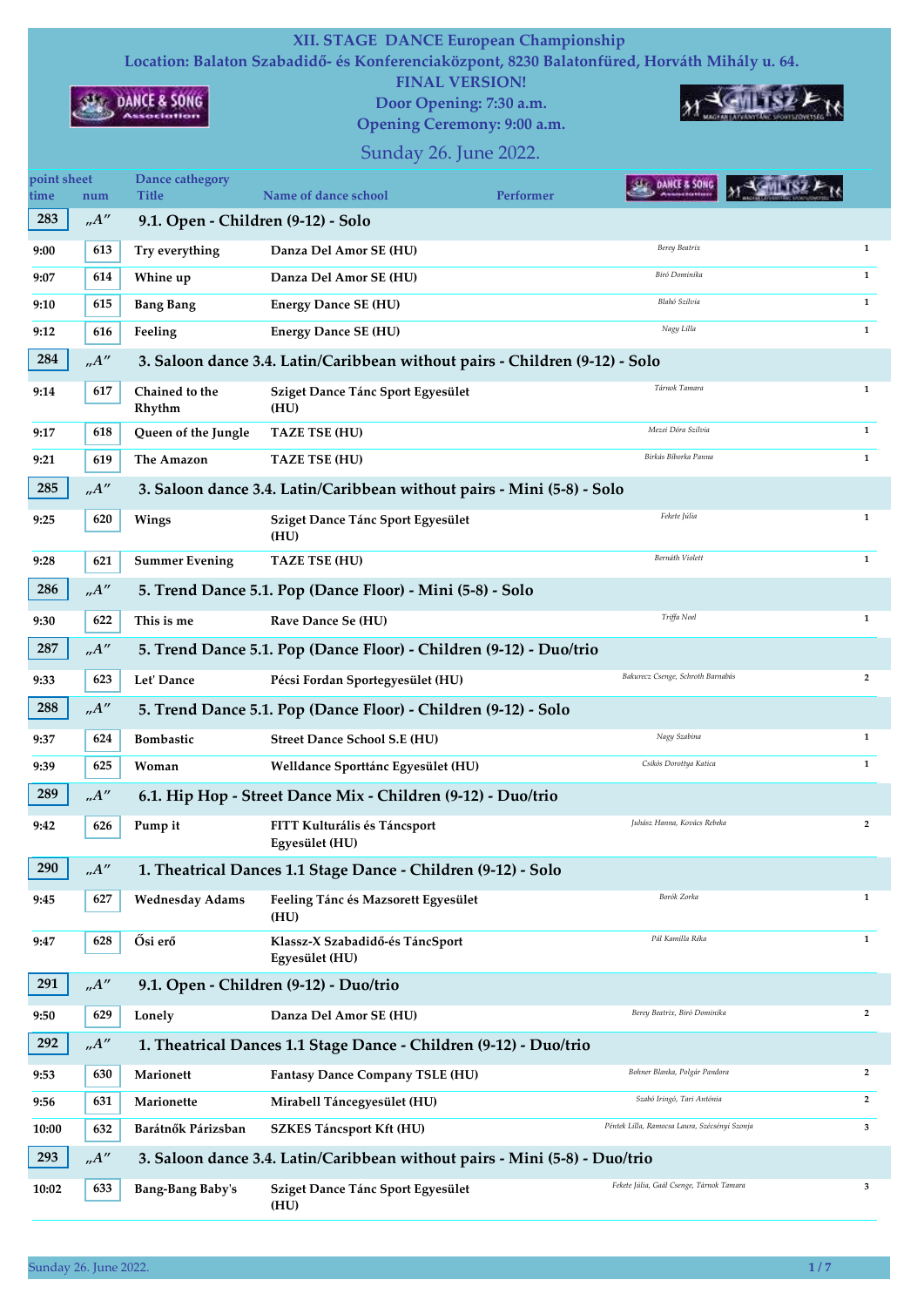## XII. STAGE DANCE European Championship

Location: Balaton Szabadidő- és Konferenciaközpont, 8230 Balatonfüred, Horváth Mihály u. 64.

FINAL VERSION! Door Opening: 7:30 a.m.

Opening Ceremony: 9:00 a.m.



## **MY GALLISZ A**

Sunday 26. June 2022.

| point sheet<br>time | num                | Dance cathegory<br><b>Title</b>    | Name of dance school                                                        | <b>Performer</b> | DANCE & SONC                                  |                |
|---------------------|--------------------|------------------------------------|-----------------------------------------------------------------------------|------------------|-----------------------------------------------|----------------|
| 283                 | A''                | 9.1. Open - Children (9-12) - Solo |                                                                             |                  |                                               |                |
| 9:00                | 613                | Try everything                     | Danza Del Amor SE (HU)                                                      |                  | Berey Beatrix                                 | $\mathbf{1}$   |
| 9:07                | 614                | Whine up                           | Danza Del Amor SE (HU)                                                      |                  | Biró Dominika                                 | $\mathbf{1}$   |
| 9:10                | 615                | <b>Bang Bang</b>                   | <b>Energy Dance SE (HU)</b>                                                 |                  | Blahó Szilvia                                 | $\mathbf{1}$   |
| 9:12                | 616                | Feeling                            | <b>Energy Dance SE (HU)</b>                                                 |                  | Nagy Lilla                                    | $\mathbf{1}$   |
| 284                 | A''                |                                    | 3. Saloon dance 3.4. Latin/Caribbean without pairs - Children (9-12) - Solo |                  |                                               |                |
| 9:14                | 617                | Chained to the<br>Rhythm           | Sziget Dance Tánc Sport Egyesület<br>(HU)                                   |                  | Tárnok Tamara                                 | $\mathbf{1}$   |
| 9:17                | 618                | Queen of the Jungle                | <b>TAZE TSE (HU)</b>                                                        |                  | Mezei Dóra Szilvia                            | $\mathbf{1}$   |
| 9:21                | 619                | The Amazon                         | TAZE TSE (HU)                                                               |                  | Birkás Bíborka Panna                          | $\mathbf{1}$   |
| 285                 | A''                |                                    | 3. Saloon dance 3.4. Latin/Caribbean without pairs - Mini (5-8) - Solo      |                  |                                               |                |
| 9:25                | 620                | Wings                              | Sziget Dance Tánc Sport Egyesület<br>(HU)                                   |                  | Fekete Júlia                                  | 1              |
| 9:28                | 621                | <b>Summer Evening</b>              | <b>TAZE TSE (HU)</b>                                                        |                  | Bernáth Violett                               | $\mathbf{1}$   |
| 286                 | A''                |                                    | 5. Trend Dance 5.1. Pop (Dance Floor) - Mini (5-8) - Solo                   |                  |                                               |                |
| 9:30                | 622                | This is me                         | Rave Dance Se (HU)                                                          |                  | Triffa Noel                                   | $\mathbf{1}$   |
| 287                 | A''                |                                    | 5. Trend Dance 5.1. Pop (Dance Floor) - Children (9-12) - Duo/trio          |                  |                                               |                |
| 9:33                | 623                | Let' Dance                         | Pécsi Fordan Sportegyesület (HU)                                            |                  | Bakurecz Csenge, Schroth Barnabás             | $\overline{2}$ |
| 288                 | A''                |                                    | 5. Trend Dance 5.1. Pop (Dance Floor) - Children (9-12) - Solo              |                  |                                               |                |
| 9:37                | 624                | <b>Bombastic</b>                   | <b>Street Dance School S.E (HU)</b>                                         |                  | Nagy Szabina                                  | 1              |
| 9:39                | 625                | Woman                              | Welldance Sporttánc Egyesület (HU)                                          |                  | Csikós Dorottya Katica                        | $\mathbf{1}$   |
| 289                 | .A''               |                                    | 6.1. Hip Hop - Street Dance Mix - Children (9-12) - Duo/trio                |                  |                                               |                |
| 9:42                | 626                | Pump it                            | FITT Kulturális és Táncsport<br>Egyesület (HU)                              |                  | Juhász Hanna, Kovács Rebeka                   | $\overline{2}$ |
| 290                 | .A''               |                                    | 1. Theatrical Dances 1.1 Stage Dance - Children (9-12) - Solo               |                  |                                               |                |
| 9:45                | 627                | <b>Wednesday Adams</b>             | Feeling Tánc és Mazsorett Egyesület<br>(HU)                                 |                  | Borók Zorka                                   | $\mathbf{1}$   |
| 9:47                | 628                | Ősi erő                            | Klassz-X Szabadidő-és TáncSport<br>Egyesület (HU)                           |                  | Pál Kamilla Réka                              | $\mathbf{1}$   |
| 291                 | .A''               |                                    | 9.1. Open - Children (9-12) - Duo/trio                                      |                  |                                               |                |
| 9:50                | 629                | Lonely                             | Danza Del Amor SE (HU)                                                      |                  | Berey Beatrix, Biró Dominika                  | $\mathbf{2}$   |
| 292                 | .A''               |                                    | 1. Theatrical Dances 1.1 Stage Dance - Children (9-12) - Duo/trio           |                  |                                               |                |
| 9:53                | 630                | Marionett                          | <b>Fantasy Dance Company TSLE (HU)</b>                                      |                  | Bohner Blanka, Polgár Pandora                 | $\overline{2}$ |
| 9:56                | 631                | Marionette                         | Mirabell Táncegyesület (HU)                                                 |                  | Szabó Iringó, Tari Antónia                    | $\overline{2}$ |
| 10:00               | 632                | Barátnők Párizsban                 | <b>SZKES Táncsport Kft (HU)</b>                                             |                  | Péntek Lilla, Ramocsa Laura, Szécsényi Szonja | 3              |
| 293                 | $n^{\prime\prime}$ |                                    | 3. Saloon dance 3.4. Latin/Caribbean without pairs - Mini (5-8) - Duo/trio  |                  |                                               |                |
| 10:02               | 633                | <b>Bang-Bang Baby's</b>            | Sziget Dance Tánc Sport Egyesület<br>(HU)                                   |                  | Fekete Júlia, Gaál Csenge, Tárnok Tamara      | 3              |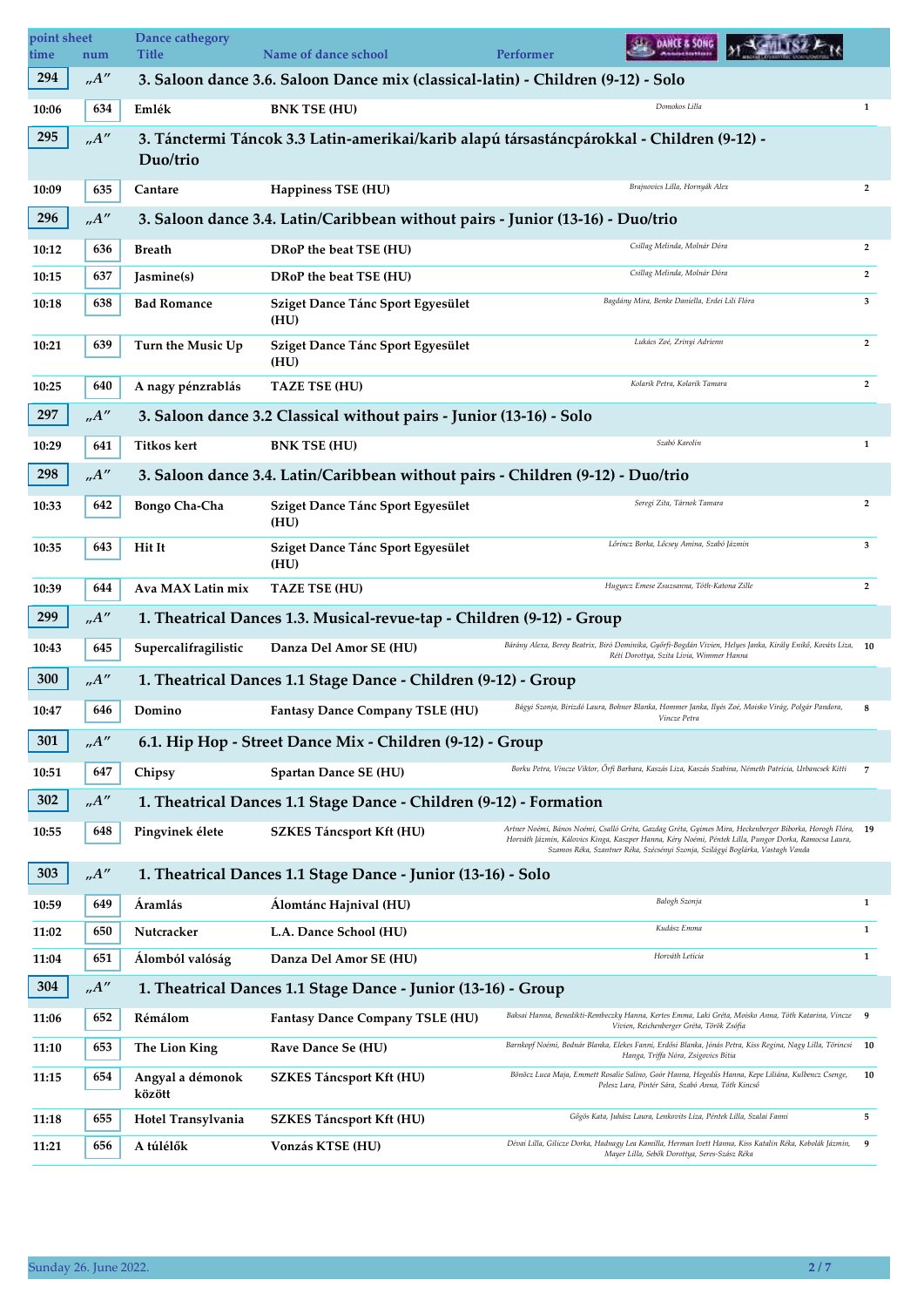| point sheet<br>time | num  | Dance cathegory<br><b>Title</b> | Name of dance school                                                                      | <b>Performer</b> | <b>SALE DANCE &amp; SONG</b>                                                   |                                                                                                                                                                                                                     |                |
|---------------------|------|---------------------------------|-------------------------------------------------------------------------------------------|------------------|--------------------------------------------------------------------------------|---------------------------------------------------------------------------------------------------------------------------------------------------------------------------------------------------------------------|----------------|
| 294                 | A''  |                                 | 3. Saloon dance 3.6. Saloon Dance mix (classical-latin) - Children (9-12) - Solo          |                  |                                                                                |                                                                                                                                                                                                                     |                |
| 10:06               | 634  | Emlék                           | <b>BNK TSE (HU)</b>                                                                       |                  | Domokos Lilla                                                                  |                                                                                                                                                                                                                     | $\mathbf{1}$   |
| 295                 | A''  | Duo/trio                        | 3. Tánctermi Táncok 3.3 Latin-amerikai/karib alapú társastáncpárokkal - Children (9-12) - |                  |                                                                                |                                                                                                                                                                                                                     |                |
| 10:09               | 635  | Cantare                         | Happiness TSE (HU)                                                                        |                  | Brajnovics Lilla, Hornyák Alex                                                 |                                                                                                                                                                                                                     | $\overline{2}$ |
| 296                 | A''  |                                 | 3. Saloon dance 3.4. Latin/Caribbean without pairs - Junior (13-16) - Duo/trio            |                  |                                                                                |                                                                                                                                                                                                                     |                |
| 10:12               | 636  | <b>Breath</b>                   | DRoP the beat TSE (HU)                                                                    |                  | Csillag Melinda, Molnár Dóra                                                   |                                                                                                                                                                                                                     | $\overline{2}$ |
| 10:15               | 637  | Jasmine(s)                      | DRoP the beat TSE (HU)                                                                    |                  | Csillag Melinda, Molnár Dóra                                                   |                                                                                                                                                                                                                     | $\overline{2}$ |
| 10:18               | 638  | <b>Bad Romance</b>              | Sziget Dance Tánc Sport Egyesület<br>(HU)                                                 |                  | Bagdány Mira, Benke Daniella, Erdei Lili Flóra                                 |                                                                                                                                                                                                                     | $\mathbf{3}$   |
| 10:21               | 639  | Turn the Music Up               | Sziget Dance Tánc Sport Egyesület<br>(HU)                                                 |                  | Lukács Zoé, Zrinyi Adrienn                                                     |                                                                                                                                                                                                                     | $\overline{2}$ |
| 10:25               | 640  | A nagy pénzrablás               | <b>TAZE TSE (HU)</b>                                                                      |                  | Kolarik Petra, Kolarik Tamara                                                  |                                                                                                                                                                                                                     | $\overline{2}$ |
| 297                 | A''  |                                 | 3. Saloon dance 3.2 Classical without pairs - Junior (13-16) - Solo                       |                  |                                                                                |                                                                                                                                                                                                                     |                |
| 10:29               | 641  | <b>Titkos kert</b>              | <b>BNK TSE (HU)</b>                                                                       |                  | Szabó Karolin                                                                  |                                                                                                                                                                                                                     | $\mathbf{1}$   |
| 298                 | A''  |                                 | 3. Saloon dance 3.4. Latin/Caribbean without pairs - Children (9-12) - Duo/trio           |                  |                                                                                |                                                                                                                                                                                                                     |                |
| 10:33               | 642  | <b>Bongo Cha-Cha</b>            | Sziget Dance Tánc Sport Egyesület<br>(HU)                                                 |                  | Seregi Zita, Tárnok Tamara                                                     |                                                                                                                                                                                                                     | $\overline{2}$ |
| 10:35               | 643  | Hit It                          | Sziget Dance Tánc Sport Egyesület<br>(HU)                                                 |                  | Lőrincz Borka, Lőcsey Amina, Szabó Jázmin                                      |                                                                                                                                                                                                                     | 3              |
| 10:39               | 644  | Ava MAX Latin mix               | <b>TAZE TSE (HU)</b>                                                                      |                  | Hugyecz Emese Zsuzsanna, Tóth-Katona Zille                                     |                                                                                                                                                                                                                     | $\overline{2}$ |
| 299                 | .A'' |                                 | 1. Theatrical Dances 1.3. Musical-revue-tap - Children (9-12) - Group                     |                  |                                                                                |                                                                                                                                                                                                                     |                |
| 10:43               | 645  | Supercalifragilistic            | Danza Del Amor SE (HU)                                                                    |                  | Réti Dorottya, Szita Lívia, Wimmer Hanna                                       | Bárány Alexa, Berey Beatrix, Biró Dominika, Győrfi-Bogdán Vivien, Helyes Janka, Király Enikő, Kováts Liza, 10                                                                                                       |                |
| 300                 | A''  |                                 | 1. Theatrical Dances 1.1 Stage Dance - Children (9-12) - Group                            |                  |                                                                                |                                                                                                                                                                                                                     |                |
| 10:47               | 646  | Domino                          | Fantasy Dance Company TSLE (HU)                                                           |                  | Vincze Petra                                                                   | Bágyi Szonja, Birizdó Laura, Bohner Blanka, Hommer Janka, Ilyés Zoé, Moisko Virág, Polgár Pandora,                                                                                                                  | 8              |
| 301                 | A''  |                                 | 6.1. Hip Hop - Street Dance Mix - Children (9-12) - Group                                 |                  |                                                                                |                                                                                                                                                                                                                     |                |
| 10:51               | 647  | Chipsy                          | Spartan Dance SE (HU)                                                                     |                  |                                                                                | Borku Petra, Vincze Viktor, Őrfi Barbara, Kaszás Liza, Kaszás Szabina, Németh Patrícia, Urbancsek Kitti                                                                                                             | 7              |
| 302                 | A''  |                                 | 1. Theatrical Dances 1.1 Stage Dance - Children (9-12) - Formation                        |                  |                                                                                |                                                                                                                                                                                                                     |                |
| 10:55               | 648  | Pingvinek élete                 | <b>SZKES Táncsport Kft (HU)</b>                                                           |                  | Szamos Réka, Szantner Réka, Szécsényi Szonja, Szilágyi Boglárka, Vastagh Vanda | Artner Noémi, Bános Noémi, Csalló Gréta, Gazdag Gréta, Gyimes Mira, Heckenberger Bíborka, Horogh Flóra, 19<br>Horváth Jázmin, Kálovics Kinga, Kaszper Hanna, Kéry Noémi, Péntek Lilla, Pungor Dorka, Ramocsa Laura, |                |
| 303                 | A''  |                                 | 1. Theatrical Dances 1.1 Stage Dance - Junior (13-16) - Solo                              |                  |                                                                                |                                                                                                                                                                                                                     |                |
| 10:59               | 649  | Áramlás                         | Álomtánc Hajnival (HU)                                                                    |                  | Balogh Szonja                                                                  |                                                                                                                                                                                                                     | 1              |
| 11:02               | 650  | Nutcracker                      | L.A. Dance School (HU)                                                                    |                  | Kudász Emma                                                                    |                                                                                                                                                                                                                     | $\mathbf{1}$   |
| 11:04               | 651  | Álomból valóság                 | Danza Del Amor SE (HU)                                                                    |                  | Horváth Letícia                                                                |                                                                                                                                                                                                                     | $\mathbf{1}$   |
| 304                 | A''  |                                 | 1. Theatrical Dances 1.1 Stage Dance - Junior (13-16) - Group                             |                  |                                                                                |                                                                                                                                                                                                                     |                |
| 11:06               | 652  | Rémálom                         | Fantasy Dance Company TSLE (HU)                                                           |                  | Vivien, Reichenberger Gréta, Török Zsófia                                      | Baksai Hanna, Benedikti-Rembeczky Hanna, Kertes Emma, Laki Gréta, Moisko Anna, Tóth Katarina, Vincze 9                                                                                                              |                |
| 11:10               | 653  | The Lion King                   | Rave Dance Se (HU)                                                                        |                  | Hanga, Triffa Nóra, Zsigovics Bítia                                            | Barnkopf Noémi, Bodnár Blanka, Elekes Fanni, Erdősi Blanka, Jónás Petra, Kiss Regina, Nagy Lilla, Törincsi                                                                                                          | 10             |
| 11:15               | 654  | Angyal a démonok<br>között      | SZKES Táncsport Kft (HU)                                                                  |                  | Pelesz Lara, Pintér Sára, Szabó Anna, Tóth Kincső                              | Bönöcz Luca Maja, Emmett Rosalie Salino, Goór Hanna, Hegedűs Hanna, Kepe Liliána, Kulbencz Csenge,                                                                                                                  | 10             |
| 11:18               | 655  | Hotel Transylvania              | <b>SZKES Táncsport Kft (HU)</b>                                                           |                  | Gőgös Kata, Juhász Laura, Lenkovits Liza, Péntek Lilla, Szalai Fanni           |                                                                                                                                                                                                                     | 5              |
| 11:21               | 656  | A túlélők                       | Vonzás KTSE (HU)                                                                          |                  | Mayer Lilla, Sebők Dorottya, Seres-Szász Réka                                  | Dévai Lilla, Gilicze Dorka, Hadnagy Lea Kamilla, Herman Ivett Hanna, Kiss Katalin Réka, Kobolák Jázmin,                                                                                                             | 9              |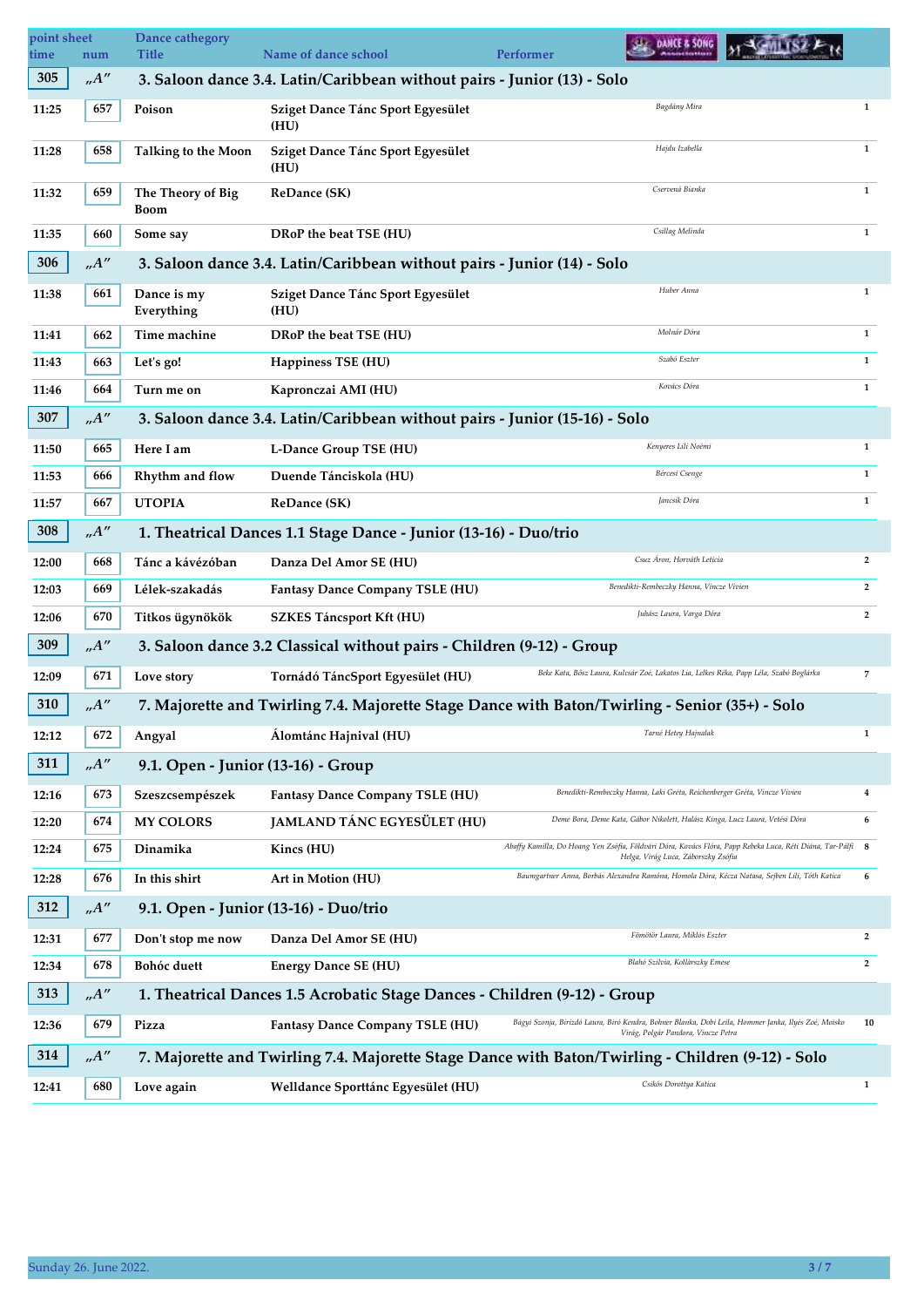| point sheet<br>time | num   | Dance cathegory<br><b>Title</b>                                                                | Name of dance school                                                       | DANCE & SONG<br><b>Performer</b>                                                                                                                   |                |  |  |
|---------------------|-------|------------------------------------------------------------------------------------------------|----------------------------------------------------------------------------|----------------------------------------------------------------------------------------------------------------------------------------------------|----------------|--|--|
| 305                 | A''   |                                                                                                | 3. Saloon dance 3.4. Latin/Caribbean without pairs - Junior (13) - Solo    |                                                                                                                                                    |                |  |  |
| 11:25               | 657   | Poison                                                                                         | Sziget Dance Tánc Sport Egyesület<br>(HU)                                  | Bagdány Mira                                                                                                                                       | $\mathbf{1}$   |  |  |
| 11:28               | 658   | <b>Talking to the Moon</b>                                                                     | Sziget Dance Tánc Sport Egyesület<br>(HU)                                  | Hajdu Izabella                                                                                                                                     | $\mathbf{1}$   |  |  |
| 11:32               | 659   | The Theory of Big<br>Boom                                                                      | <b>ReDance (SK)</b>                                                        | Cservená Bianka                                                                                                                                    | $\mathbf{1}$   |  |  |
| 11:35               | 660   | Some say                                                                                       | DRoP the beat TSE (HU)                                                     | Csillag Melinda                                                                                                                                    | $\mathbf{1}$   |  |  |
| 306                 | A''   |                                                                                                | 3. Saloon dance 3.4. Latin/Caribbean without pairs - Junior (14) - Solo    |                                                                                                                                                    |                |  |  |
| 11:38               | 661   | Dance is my<br>Everything                                                                      | Sziget Dance Tánc Sport Egyesület<br>(HU)                                  | Huber Anna                                                                                                                                         | $\mathbf{1}$   |  |  |
| 11:41               | 662   | Time machine                                                                                   | DRoP the beat TSE (HU)                                                     | Molnár Dóra                                                                                                                                        | $\mathbf{1}$   |  |  |
| 11:43               | 663   | Let's go!                                                                                      | <b>Happiness TSE (HU)</b>                                                  | Szabó Eszter                                                                                                                                       | $\mathbf{1}$   |  |  |
| 11:46               | 664   | Turn me on                                                                                     | Kapronczai AMI (HU)                                                        | Kovács Dóra                                                                                                                                        | $\mathbf{1}$   |  |  |
| 307                 | A''   |                                                                                                | 3. Saloon dance 3.4. Latin/Caribbean without pairs - Junior (15-16) - Solo |                                                                                                                                                    |                |  |  |
| 11:50               | 665   | Here I am                                                                                      | L-Dance Group TSE (HU)                                                     | Kenyeres Lili Noémi                                                                                                                                | $\mathbf{1}$   |  |  |
| 11:53               | 666   | Rhythm and flow                                                                                | Duende Tánciskola (HU)                                                     | Bércesi Csenge                                                                                                                                     | $\mathbf{1}$   |  |  |
| 11:57               | 667   | <b>UTOPIA</b>                                                                                  | <b>ReDance (SK)</b>                                                        | Jancsík Dóra                                                                                                                                       | $\mathbf{1}$   |  |  |
| 308                 | A''   |                                                                                                | 1. Theatrical Dances 1.1 Stage Dance - Junior (13-16) - Duo/trio           |                                                                                                                                                    |                |  |  |
| 12:00               | 668   | Tánc a kávézóban                                                                               | Danza Del Amor SE (HU)                                                     | Csuz Áron, Horváth Letícia                                                                                                                         | $\overline{2}$ |  |  |
| 12:03               | 669   | Lélek-szakadás                                                                                 | Fantasy Dance Company TSLE (HU)                                            | Benedikti-Rembeczky Hanna, Vincze Vivien                                                                                                           | $\overline{2}$ |  |  |
| 12:06               | 670   | Titkos ügynökök                                                                                | SZKES Táncsport Kft (HU)                                                   | Juhász Laura, Varga Dóra                                                                                                                           | $\overline{2}$ |  |  |
| 309                 | A''   | 3. Saloon dance 3.2 Classical without pairs - Children (9-12) - Group                          |                                                                            |                                                                                                                                                    |                |  |  |
| 12:09               | 671   | Love story                                                                                     | Tornádó TáncSport Egyesület (HU)                                           | Beke Kata, Bősz Laura, Kulcsár Zoé, Lakatos Lia, Lelkes Réka, Papp Léla, Szabó Boglárka                                                            | $\overline{7}$ |  |  |
| 310                 | .A''  | 7. Majorette and Twirling 7.4. Majorette Stage Dance with Baton/Twirling - Senior (35+) - Solo |                                                                            |                                                                                                                                                    |                |  |  |
| 12:12               | 672   | Angyal                                                                                         | Álomtánc Hajnival (HU)                                                     | Tarné Hetey Hajnalak                                                                                                                               | $\mathbf{1}$   |  |  |
| 311                 | . A'' | 9.1. Open - Junior (13-16) - Group                                                             |                                                                            |                                                                                                                                                    |                |  |  |
| 12:16               | 673   | Szeszcsempészek                                                                                | Fantasy Dance Company TSLE (HU)                                            | Benedikti-Rembeczky Hanna, Laki Gréta, Reichenberger Gréta, Vincze Vivien                                                                          | 4              |  |  |
| 12:20               | 674   | <b>MY COLORS</b>                                                                               | JAMLAND TÁNC EGYESÜLET (HU)                                                | Deme Bora, Deme Kata, Gábor Nikolett, Halász Kinga, Lucz Laura, Vetési Dóra                                                                        | 6              |  |  |
| 12:24               | 675   | Dinamika                                                                                       | Kincs (HU)                                                                 | Abaffy Kamilla, Do Hoang Yen Zsófia, Földvári Dóra, Kovács Flóra, Papp Rebeka Luca, Réti Diána, Tar-Pálfi 8<br>Helga, Virág Luca, Záborszky Zsófia |                |  |  |
| 12:28               | 676   | In this shirt                                                                                  | Art in Motion (HU)                                                         | Baumgartner Anna, Borbás Alexandra Ramóna, Homola Dóra, Kécza Natasa, Sejben Lili, Tóth Katica                                                     | 6              |  |  |
| 312                 | A''   |                                                                                                | 9.1. Open - Junior (13-16) - Duo/trio                                      |                                                                                                                                                    |                |  |  |
| 12:31               | 677   | Don't stop me now                                                                              | Danza Del Amor SE (HU)                                                     | Fömötör Laura, Miklós Eszter                                                                                                                       | $\overline{2}$ |  |  |
| 12:34               | 678   | <b>Bohóc</b> duett                                                                             | <b>Energy Dance SE (HU)</b>                                                | Blahó Szilvia, Kollàrszky Emese                                                                                                                    | $\overline{2}$ |  |  |
| 313                 | A''   |                                                                                                | 1. Theatrical Dances 1.5 Acrobatic Stage Dances - Children (9-12) - Group  |                                                                                                                                                    |                |  |  |
| 12:36               | 679   | Pizza                                                                                          | <b>Fantasy Dance Company TSLE (HU)</b>                                     | Bágyi Szonja, Birizdó Laura, Biró Kendra, Bohner Blanka, Dobi Leila, Hommer Janka, Ilyés Zoé, Moisko<br>Virág, Polgár Pandora, Vincze Petra        | 10             |  |  |
| 314                 | A''   |                                                                                                |                                                                            | 7. Majorette and Twirling 7.4. Majorette Stage Dance with Baton/Twirling - Children (9-12) - Solo                                                  |                |  |  |
| 12:41               | 680   | Love again                                                                                     | Welldance Sporttánc Egyesület (HU)                                         | Csikós Dorottya Katica                                                                                                                             | $\mathbf{1}$   |  |  |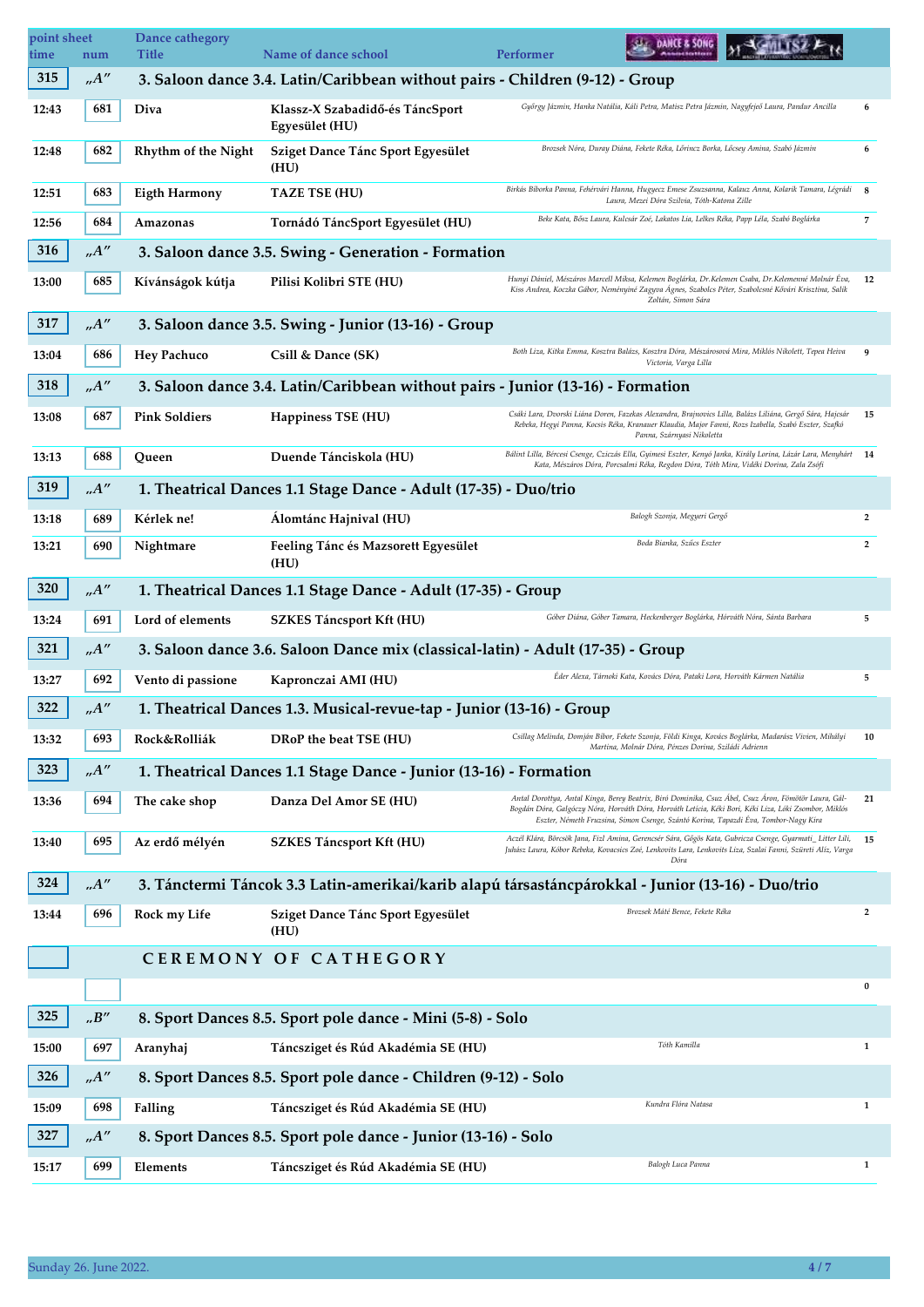| point sheet<br>time | num                           | Dance cathegory<br>Title | <b>Name of dance school</b>                                                     | <b>DANCE &amp; SONG</b><br><b>Performer</b>                                                                                                                                                                                                                                                          |                |
|---------------------|-------------------------------|--------------------------|---------------------------------------------------------------------------------|------------------------------------------------------------------------------------------------------------------------------------------------------------------------------------------------------------------------------------------------------------------------------------------------------|----------------|
| 315                 | A''                           |                          | 3. Saloon dance 3.4. Latin/Caribbean without pairs - Children (9-12) - Group    |                                                                                                                                                                                                                                                                                                      |                |
| 12:43               | 681                           | Diva                     | Klassz-X Szabadidő-és TáncSport<br>Egyesület (HU)                               | Győrgy Jázmin, Hanka Natália, Káli Petra, Matisz Petra Jázmin, Nagyfejeő Laura, Pandur Ancilla                                                                                                                                                                                                       | 6              |
| 12:48               | 682                           | Rhythm of the Night      | Sziget Dance Tánc Sport Egyesület<br>(HU)                                       | Brozsek Nóra, Duray Diána, Fekete Réka, Lőrincz Borka, Lőcsey Amina, Szabó Jázmin                                                                                                                                                                                                                    | 6              |
| 12:51               | 683                           | <b>Eigth Harmony</b>     | <b>TAZE TSE (HU)</b>                                                            | Birkás Bíborka Panna, Fehérvári Hanna, Hugyecz Emese Zsuzsanna, Kalauz Anna, Kolarik Tamara, Légrádi<br>Laura, Mezei Dóra Szilvia, Tóth-Katona Zille                                                                                                                                                 | 8              |
| 12:56               | 684                           | Amazonas                 | Tornádó TáncSport Egyesület (HU)                                                | Beke Kata, Bősz Laura, Kulcsár Zoé, Lakatos Lia, Lelkes Réka, Papp Léla, Szabó Boglárka                                                                                                                                                                                                              | $\overline{7}$ |
| 316                 | A''                           |                          | 3. Saloon dance 3.5. Swing - Generation - Formation                             |                                                                                                                                                                                                                                                                                                      |                |
| 13:00               | 685                           | Kívánságok kútja         | Pilisi Kolibri STE (HU)                                                         | Hunyi Dániel, Mészáros Marcell Miksa, Kelemen Boglárka, Dr.Kelemen Csaba, Dr.Kelemenné Molnár Éva,<br>Kiss Andrea, Koczka Gábor, Neményiné Zagyva Ágnes, Szabolcs Péter, Szabolcsné Kővári Krisztina, Salik<br>Zoltán, Simon Sára                                                                    | 12             |
| 317                 | A''                           |                          | 3. Saloon dance 3.5. Swing - Junior (13-16) - Group                             |                                                                                                                                                                                                                                                                                                      |                |
| 13:04               | 686                           | <b>Hey Pachuco</b>       | Csill & Dance (SK)                                                              | Both Liza, Kitka Emma, Kosztra Balázs, Kosztra Dóra, Mészárosová Mira, Miklós Nikolett, Tepea Heiva<br>Victoria, Varga Lilla                                                                                                                                                                         | 9              |
| 318                 | .A''                          |                          | 3. Saloon dance 3.4. Latin/Caribbean without pairs - Junior (13-16) - Formation |                                                                                                                                                                                                                                                                                                      |                |
| 13:08               | 687                           | <b>Pink Soldiers</b>     | Happiness TSE (HU)                                                              | Csáki Lara, Dvorski Liána Doren, Fazekas Alexandra, Brajnovics Lilla, Balázs Liliána, Gergő Sára, Hajcsár<br>Rebeka, Hegyi Panna, Kocsis Réka, Kranauer Klaudia, Major Fanni, Rozs Izabella, Szabó Eszter, Szafkó<br>Panna, Szárnyasi Nikoletta                                                      | 15             |
| 13:13               | 688                           | Queen                    | Duende Tánciskola (HU)                                                          | Bálint Lilla, Bércesi Csenge, Cziczás Ella, Gyimesi Eszter, Kenyó Janka, Király Lorina, Lázár Lara, Menyhárt<br>Kata, Mészáros Dóra, Porcsalmi Réka, Regdon Dóra, Tóth Mira, Vidéki Dorina, Zala Zsófi                                                                                               | 14             |
| 319                 | .A''                          |                          | 1. Theatrical Dances 1.1 Stage Dance - Adult (17-35) - Duo/trio                 |                                                                                                                                                                                                                                                                                                      |                |
| 13:18               | 689                           | Kérlek ne!               | Álomtánc Hajnival (HU)                                                          | Balogh Szonja, Megyeri Gergő                                                                                                                                                                                                                                                                         | $\overline{2}$ |
| 13:21               | 690                           | Nightmare                | Feeling Tánc és Mazsorett Egyesület<br>(HU)                                     | Boda Bianka, Szűcs Eszter                                                                                                                                                                                                                                                                            | $\overline{2}$ |
| 320                 | .A''                          |                          | 1. Theatrical Dances 1.1 Stage Dance - Adult (17-35) - Group                    |                                                                                                                                                                                                                                                                                                      |                |
| 13:24               | 691                           | Lord of elements         | SZKES Táncsport Kft (HU)                                                        | Góber Diána, Góber Tamara, Heckenberger Boglárka, Hórváth Nóra, Sánta Barbara                                                                                                                                                                                                                        | 5              |
| 321                 | $.A''$                        |                          | 3. Saloon dance 3.6. Saloon Dance mix (classical-latin) - Adult (17-35) - Group |                                                                                                                                                                                                                                                                                                      |                |
| 13:27               | 692                           | Vento di passione        | Kapronczai AMI (HU)                                                             | Eder Alexa, Tárnoki Kata, Kovács Dóra, Pataki Lora, Horváth Kármen Natália                                                                                                                                                                                                                           | 5              |
| 322                 | A''                           |                          | 1. Theatrical Dances 1.3. Musical-revue-tap - Junior (13-16) - Group            |                                                                                                                                                                                                                                                                                                      |                |
| 13:32               | 693                           | Rock&Rolliák             | DRoP the beat TSE (HU)                                                          | Csillag Melinda, Domján Bíbor, Fekete Szonja, Földi Kinga, Kovács Boglárka, Madarász Vivien, Mihályi<br>Martina, Molnár Dóra, Pénzes Dorina, Sziládi Adrienn                                                                                                                                         | 10             |
| 323                 | A''                           |                          | 1. Theatrical Dances 1.1 Stage Dance - Junior (13-16) - Formation               |                                                                                                                                                                                                                                                                                                      |                |
| 13:36               | 694                           | The cake shop            | Danza Del Amor SE (HU)                                                          | Antal Dorottya, Antal Kinga, Berey Beatrix, Biró Dominika, Csuz Ábel, Csuz Áron, Fömötör Laura, Gál-<br>Bogdán Dóra, Galgóczy Nóra, Horváth Dóra, Horváth Letícia, Kéki Bori, Kéki Liza, Lóki Zsombor, Miklós<br>Eszter, Németh Fruzsina, Simon Csenge, Szántó Korina, Tapazdi Éva, Tombor-Nagy Kíra | 21             |
| 13:40               | 695                           | Az erdő mélyén           | <b>SZKES Táncsport Kft (HU)</b>                                                 | Aczél Klára, Börcsök Jana, Fizl Amina, Gerencsér Sára, Gőgös Kata, Gubricza Csenge, Gyarmati_Litter Lili,<br>Juhász Laura, Kóbor Rebeka, Kovacsics Zoé, Lenkovits Lara, Lenkovits Liza, Szalai Fanni, Szüreti Alíz, Varga<br>Dóra                                                                    | 15             |
| 324                 | $n^{\prime}A^{\prime\prime}$  |                          |                                                                                 | 3. Tánctermi Táncok 3.3 Latin-amerikai/karib alapú társastáncpárokkal - Junior (13-16) - Duo/trio                                                                                                                                                                                                    |                |
| 13:44               | 696                           | Rock my Life             | Sziget Dance Tánc Sport Egyesület<br>(HU)                                       | Brozsek Máté Bence, Fekete Réka                                                                                                                                                                                                                                                                      | $\overline{2}$ |
|                     |                               |                          | CEREMONY OF CATHEGORY                                                           |                                                                                                                                                                                                                                                                                                      |                |
|                     |                               |                          |                                                                                 |                                                                                                                                                                                                                                                                                                      | $\bf{0}$       |
| 325                 | $\cdot\cdot B^{\prime\prime}$ |                          | 8. Sport Dances 8.5. Sport pole dance - Mini (5-8) - Solo                       |                                                                                                                                                                                                                                                                                                      |                |
| 15:00               | 697                           | Aranyhaj                 | Táncsziget és Rúd Akadémia SE (HU)                                              | Tóth Kamilla                                                                                                                                                                                                                                                                                         | $\mathbf{1}$   |
| 326                 | .A''                          |                          | 8. Sport Dances 8.5. Sport pole dance - Children (9-12) - Solo                  |                                                                                                                                                                                                                                                                                                      |                |
| 15:09               | 698                           | Falling                  | Táncsziget és Rúd Akadémia SE (HU)                                              | Kundra Flóra Natasa                                                                                                                                                                                                                                                                                  | 1              |
| 327                 | A''                           |                          | 8. Sport Dances 8.5. Sport pole dance - Junior (13-16) - Solo                   |                                                                                                                                                                                                                                                                                                      |                |
| 15:17               | 699                           | Elements                 | Táncsziget és Rúd Akadémia SE (HU)                                              | Balogh Luca Panna                                                                                                                                                                                                                                                                                    | $\mathbf{1}$   |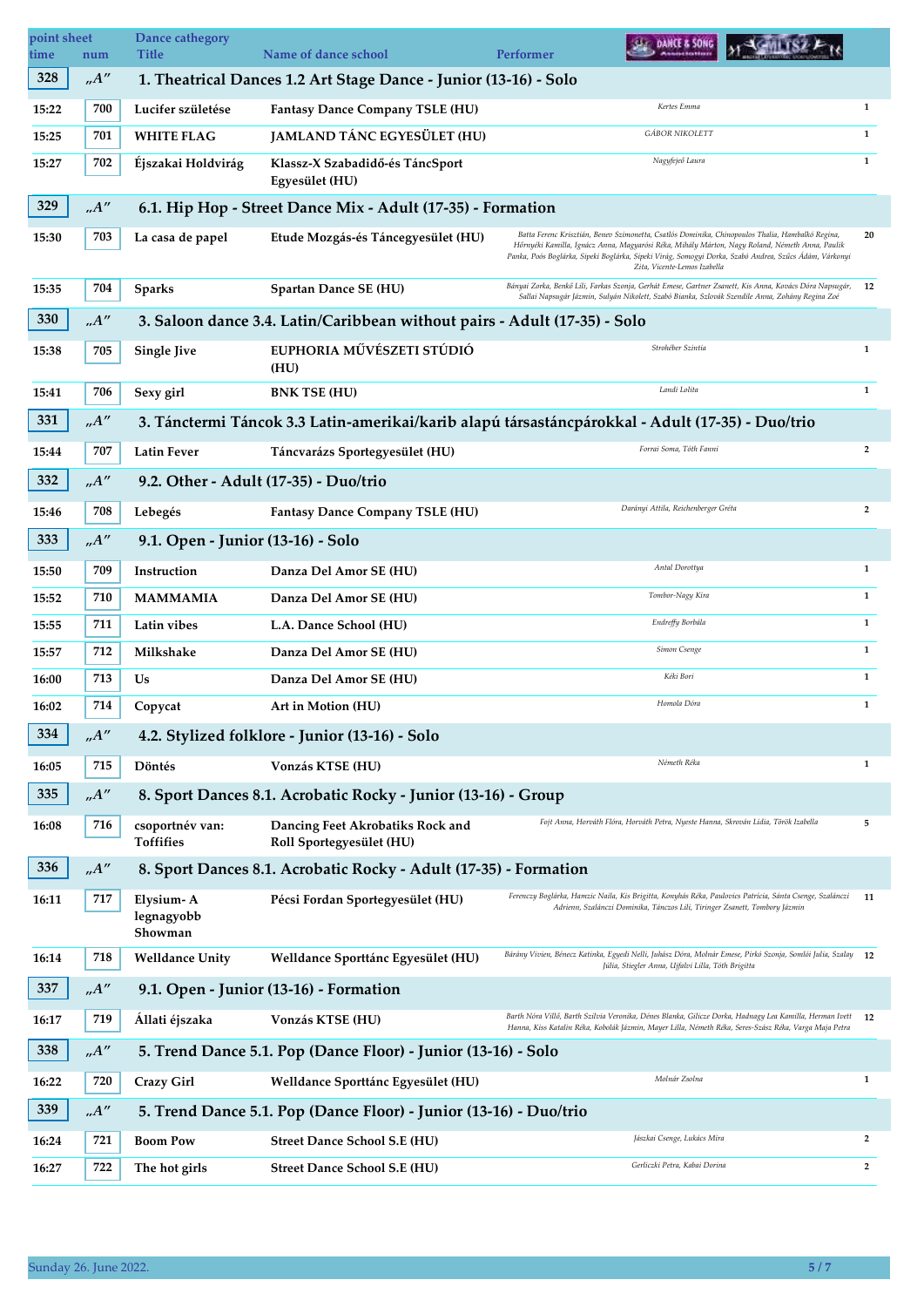| point sheet<br>time | num                | Dance cathegory<br><b>Title</b>    | Name of dance school                                                                             | Performer | DANCE & SONG                                                                         |                                                                                                                                                                                                                                                                                                              |                |
|---------------------|--------------------|------------------------------------|--------------------------------------------------------------------------------------------------|-----------|--------------------------------------------------------------------------------------|--------------------------------------------------------------------------------------------------------------------------------------------------------------------------------------------------------------------------------------------------------------------------------------------------------------|----------------|
| 328                 | $n^{\prime\prime}$ |                                    | 1. Theatrical Dances 1.2 Art Stage Dance - Junior (13-16) - Solo                                 |           |                                                                                      |                                                                                                                                                                                                                                                                                                              |                |
| 15:22               | 700                | Lucifer születése                  | Fantasy Dance Company TSLE (HU)                                                                  |           | Kertes Emma                                                                          |                                                                                                                                                                                                                                                                                                              | $\mathbf{1}$   |
| 15:25               | 701                | <b>WHITE FLAG</b>                  | JAMLAND TÁNC EGYESÜLET (HU)                                                                      |           | <b>GÁBOR NIKOLETT</b>                                                                |                                                                                                                                                                                                                                                                                                              | $\mathbf{1}$   |
| 15:27               | 702                | Éjszakai Holdvirág                 | Klassz-X Szabadidő-és TáncSport<br>Egyesület (HU)                                                |           | Nagyfejeő Laura                                                                      |                                                                                                                                                                                                                                                                                                              | $\mathbf{1}$   |
| 329                 | A''                |                                    | 6.1. Hip Hop - Street Dance Mix - Adult (17-35) - Formation                                      |           |                                                                                      |                                                                                                                                                                                                                                                                                                              |                |
| 15:30               | 703                | La casa de papel                   | Etude Mozgás-és Táncegyesület (HU)                                                               |           | Zita, Vicente-Lemos Izabella                                                         | Batta Ferenc Krisztián, Benev Szimonetta, Csatlós Dominika, Chinopoulos Thalia, Hambalkó Regina,<br>Hőrnyéki Kamilla, Ignácz Anna, Magyarósi Réka, Mihály Márton, Nagy Roland, Németh Anna, Paulik<br>Panka, Poós Boglárka, Sipeki Boglárka, Sipeki Virág, Somogyi Dorka, Szabó Andrea, Szűcs Ádám, Várkonyi | 20             |
| 15:35               | 704                | <b>Sparks</b>                      | Spartan Dance SE (HU)                                                                            |           |                                                                                      | Bányai Zorka, Benkő Lili, Farkas Szonja, Gerhát Emese, Gartner Zsanett, Kis Anna, Kovács Dóra Napsugár,<br>Sallai Napsugár Jázmin, Sulyán Nikolett, Szabó Bianka, Szlovák Szendile Anna, Zohány Regina Zoé                                                                                                   | 12             |
| 330                 | .A''               |                                    | 3. Saloon dance 3.4. Latin/Caribbean without pairs - Adult (17-35) - Solo                        |           |                                                                                      |                                                                                                                                                                                                                                                                                                              |                |
| 15:38               | 705                | <b>Single Jive</b>                 | EUPHORIA MŰVÉSZETI STÚDIÓ<br>(HU)                                                                |           | Strohéber Szintia                                                                    |                                                                                                                                                                                                                                                                                                              | $\mathbf{1}$   |
| 15:41               | 706                | Sexy girl                          | <b>BNK TSE (HU)</b>                                                                              |           | Landi Lolita                                                                         |                                                                                                                                                                                                                                                                                                              | $\mathbf{1}$   |
| 331                 | A''                |                                    | 3. Tánctermi Táncok 3.3 Latin-amerikai/karib alapú társastáncpárokkal - Adult (17-35) - Duo/trio |           |                                                                                      |                                                                                                                                                                                                                                                                                                              |                |
| 15:44               | 707                | <b>Latin Fever</b>                 | Táncvarázs Sportegyesület (HU)                                                                   |           | Forrai Soma, Tóth Fanni                                                              |                                                                                                                                                                                                                                                                                                              | $\overline{2}$ |
| 332                 | .A''               |                                    | 9.2. Other - Adult (17-35) - Duo/trio                                                            |           |                                                                                      |                                                                                                                                                                                                                                                                                                              |                |
| 15:46               | 708                | Lebegés                            | Fantasy Dance Company TSLE (HU)                                                                  |           | Darányi Attila, Reichenberger Gréta                                                  |                                                                                                                                                                                                                                                                                                              | $\overline{2}$ |
| 333                 | .A''               | 9.1. Open - Junior (13-16) - Solo  |                                                                                                  |           |                                                                                      |                                                                                                                                                                                                                                                                                                              |                |
| 15:50               | 709                | Instruction                        | Danza Del Amor SE (HU)                                                                           |           | Antal Dorottya                                                                       |                                                                                                                                                                                                                                                                                                              | $\mathbf{1}$   |
| 15:52               | 710                | <b>MAMMAMIA</b>                    | Danza Del Amor SE (HU)                                                                           |           | Tombor-Nagy Kíra                                                                     |                                                                                                                                                                                                                                                                                                              | $\mathbf{1}$   |
| 15:55               | 711                | Latin vibes                        | L.A. Dance School (HU)                                                                           |           | Endreffy Borbála                                                                     |                                                                                                                                                                                                                                                                                                              | $\mathbf{1}$   |
| 15:57               | 712                | Milkshake                          | Danza Del Amor SE (HU)                                                                           |           | Simon Csenge                                                                         |                                                                                                                                                                                                                                                                                                              | $\mathbf{1}$   |
| 16:00               | 713                | Us                                 | Danza Del Amor SE (HU)                                                                           |           | Kéki Bori                                                                            |                                                                                                                                                                                                                                                                                                              | $\mathbf{1}$   |
| 16:02               | 714                | Copycat                            | Art in Motion (HU)                                                                               |           | Homola Dóra                                                                          |                                                                                                                                                                                                                                                                                                              | $\mathbf{1}$   |
| 334                 | .A''               |                                    | 4.2. Stylized folklore - Junior (13-16) - Solo                                                   |           |                                                                                      |                                                                                                                                                                                                                                                                                                              |                |
| 16:05               | 715                | Döntés                             | Vonzás KTSE (HU)                                                                                 |           | Németh Réka                                                                          |                                                                                                                                                                                                                                                                                                              | $\mathbf{1}$   |
| 335                 | .A''               |                                    | 8. Sport Dances 8.1. Acrobatic Rocky - Junior (13-16) - Group                                    |           |                                                                                      |                                                                                                                                                                                                                                                                                                              |                |
| 16:08               | 716                | csoportnév van:<br>Toffifies       | Dancing Feet Akrobatiks Rock and<br>Roll Sportegyesület (HU)                                     |           | Fojt Anna, Horváth Flóra, Horváth Petra, Nyeste Hanna, Skrován Lídia, Török Izabella |                                                                                                                                                                                                                                                                                                              | 5              |
| 336                 | A''                |                                    | 8. Sport Dances 8.1. Acrobatic Rocky - Adult (17-35) - Formation                                 |           |                                                                                      |                                                                                                                                                                                                                                                                                                              |                |
| 16:11               | 717                | Elysium-A<br>legnagyobb<br>Showman | Pécsi Fordan Sportegyesület (HU)                                                                 |           | Adrienn, Szalánczi Dominika, Tánczos Lili, Tiringer Zsanett, Tombory Jázmin          | Ferenczy Boglárka, Hamzic Naila, Kis Brigitta, Konyhás Réka, Paulovics Patrícia, Sánta Csenge, Szalánczi                                                                                                                                                                                                     | 11             |
| 16:14               | 718                | <b>Welldance Unity</b>             | Welldance Sporttánc Egyesület (HU)                                                               |           | Júlia, Stiegler Anna, Ujfalvi Lilla, Tóth Brigitta                                   | Bárány Vivien, Bénecz Katinka, Egyedi Nelli, Juhász Dóra, Molnár Emese, Pirkó Szonja, Somlói Julia, Szalay 12                                                                                                                                                                                                |                |
| 337                 | .A''               |                                    | 9.1. Open - Junior (13-16) - Formation                                                           |           |                                                                                      |                                                                                                                                                                                                                                                                                                              |                |
| 16:17               | 719                | Állati éjszaka                     | Vonzás KTSE (HU)                                                                                 |           |                                                                                      | Barth Nóra Villő, Barth Szilvia Veronika, Dénes Blanka, Gilicze Dorka, Hadnagy Lea Kamilla, Herman Ivett 12<br>Hanna, Kiss Katalin Réka, Kobolák Jázmin, Mayer Lilla, Németh Réka, Seres-Szász Réka, Varga Maja Petra                                                                                        |                |
| 338                 | A''                |                                    | 5. Trend Dance 5.1. Pop (Dance Floor) - Junior (13-16) - Solo                                    |           |                                                                                      |                                                                                                                                                                                                                                                                                                              |                |
| 16:22               | 720                | <b>Crazy Girl</b>                  | Welldance Sporttánc Egyesület (HU)                                                               |           | Molnár Zsolna                                                                        |                                                                                                                                                                                                                                                                                                              | $\mathbf{1}$   |
| 339                 | .A''               |                                    | 5. Trend Dance 5.1. Pop (Dance Floor) - Junior (13-16) - Duo/trio                                |           |                                                                                      |                                                                                                                                                                                                                                                                                                              |                |
| 16:24               | 721                | <b>Boom Pow</b>                    | Street Dance School S.E (HU)                                                                     |           | Jászkai Csenge, Lukács Míra                                                          |                                                                                                                                                                                                                                                                                                              | $\overline{2}$ |
| 16:27               | 722                | The hot girls                      | <b>Street Dance School S.E (HU)</b>                                                              |           | Gerliczki Petra, Kabai Dorina                                                        |                                                                                                                                                                                                                                                                                                              | $\overline{2}$ |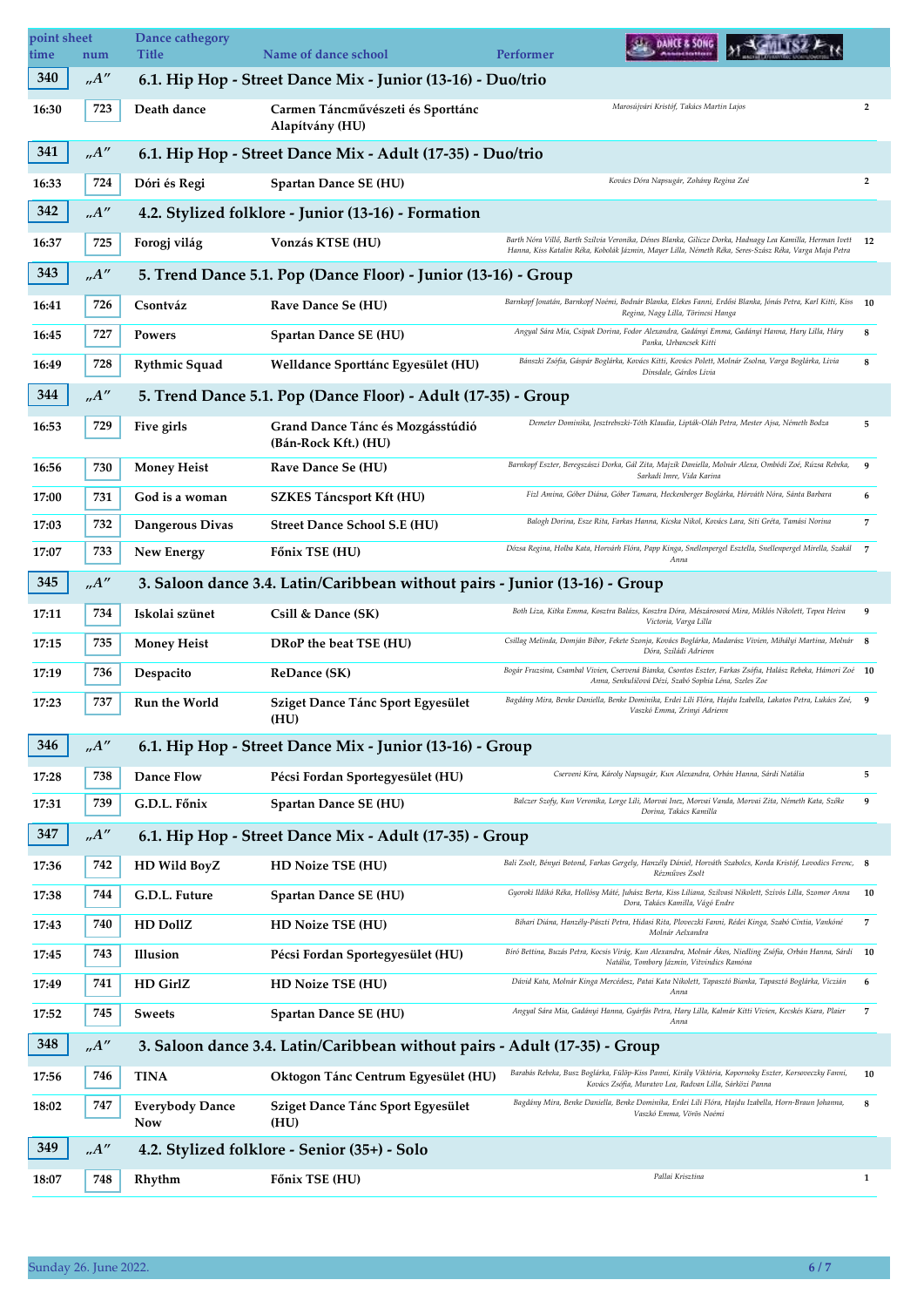| point sheet<br>time | num  | Dance cathegory<br>Title      | Name of dance school                                                        | DANCE & SONG<br>Performer                                                                                                                                                                                             |                         |
|---------------------|------|-------------------------------|-----------------------------------------------------------------------------|-----------------------------------------------------------------------------------------------------------------------------------------------------------------------------------------------------------------------|-------------------------|
| 340                 | A''  |                               | 6.1. Hip Hop - Street Dance Mix - Junior (13-16) - Duo/trio                 |                                                                                                                                                                                                                       |                         |
| 16:30               | 723  | Death dance                   | Carmen Táncművészeti és Sporttánc<br>Alapítvány (HU)                        | Marosújvári Kristóf, Takács Martin Lajos                                                                                                                                                                              | 2                       |
| 341                 | A''  |                               | 6.1. Hip Hop - Street Dance Mix - Adult (17-35) - Duo/trio                  |                                                                                                                                                                                                                       |                         |
| 16:33               | 724  | Dóri és Regi                  | Spartan Dance SE (HU)                                                       | Kovács Dóra Napsugár, Zohány Regina Zoé                                                                                                                                                                               | $\overline{\mathbf{2}}$ |
| 342                 | A''  |                               | 4.2. Stylized folklore - Junior (13-16) - Formation                         |                                                                                                                                                                                                                       |                         |
| 16:37               | 725  | Forogj világ                  | Vonzás KTSE (HU)                                                            | Barth Nóra Villő, Barth Szilvia Veronika, Dénes Blanka, Gilicze Dorka, Hadnagy Lea Kamilla, Herman Ivett 12<br>Hanna, Kiss Katalin Réka, Kobolák Jázmin, Mayer Lilla, Németh Réka, Seres-Szász Réka, Varga Maja Petra |                         |
| 343                 | .A'' |                               | 5. Trend Dance 5.1. Pop (Dance Floor) - Junior (13-16) - Group              |                                                                                                                                                                                                                       |                         |
| 16:41               | 726  | Csontváz                      | Rave Dance Se (HU)                                                          | Barnkopf Jonatán, Barnkopf Noémi, Bodnár Blanka, Elekes Fanni, Erdősi Blanka, Jónás Petra, Karl Kitti, Kiss 10<br>Regina, Nagy Lilla, Törincsi Hanga                                                                  |                         |
| 16:45               | 727  | Powers                        | Spartan Dance SE (HU)                                                       | Angyal Sára Mia, Csipak Dorina, Fodor Alexandra, Gadányi Emma, Gadányi Hanna, Hary Lilla, Háry<br>Panka, Urbancsek Kitti                                                                                              | 8                       |
| 16:49               | 728  | <b>Rythmic Squad</b>          | Welldance Sporttánc Egyesület (HU)                                          | Bánszki Zsófia, Gáspár Boglárka, Kovács Kitti, Kovács Polett, Molnár Zsolna, Varga Boglárka, Livia<br>Dinsdale, Gárdos Lívia                                                                                          | 8                       |
| 344                 | A''  |                               | 5. Trend Dance 5.1. Pop (Dance Floor) - Adult (17-35) - Group               |                                                                                                                                                                                                                       |                         |
| 16:53               | 729  | Five girls                    | Grand Dance Tánc és Mozgásstúdió<br>(Bán-Rock Kft.) (HU)                    | Demeter Dominika, Jesztrebszki-Tóth Klaudia, Lipták-Oláh Petra, Mester Ajsa, Németh Bodza                                                                                                                             | 5                       |
| 16:56               | 730  | <b>Money Heist</b>            | Rave Dance Se (HU)                                                          | Barnkopf Eszter, Beregszászi Dorka, Gál Zita, Majzik Daniella, Molnár Alexa, Ombódi Zoé, Rúzsa Rebeka,<br>Sarkadi Imre. Vida Karina                                                                                   | 9                       |
| 17:00               | 731  | God is a woman                | <b>SZKES Táncsport Kft (HU)</b>                                             | Fizl Amina, Góber Diána, Góber Tamara, Heckenberger Boglárka, Hórváth Nóra, Sánta Barbara                                                                                                                             | 6                       |
| 17:03               | 732  | Dangerous Divas               | <b>Street Dance School S.E (HU)</b>                                         | Balogh Dorina, Esze Rita, Farkas Hanna, Kicska Nikol, Kovács Lara, Siti Gréta, Tamási Norina                                                                                                                          | 7                       |
| 17:07               | 733  | New Energy                    | Főnix TSE (HU)                                                              | Dózsa Regina, Holba Kata, Horvárh Flóra, Papp Kinga, Snellenpergel Esztella, Snellenpergel Mirella, Szakál<br>Anna                                                                                                    | $\overline{7}$          |
| 345                 | A''  |                               | 3. Saloon dance 3.4. Latin/Caribbean without pairs - Junior (13-16) - Group |                                                                                                                                                                                                                       |                         |
| 17:11               | 734  | Iskolai szünet                | Csill & Dance (SK)                                                          | Both Liza, Kitka Emma, Kosztra Balázs, Kosztra Dóra, Mészárosová Mira, Miklós Nikolett, Tepea Heiva<br>Victoria, Varga Lilla                                                                                          | 9                       |
| 17:15               | 735  | <b>Money Heist</b>            | DRoP the beat TSE (HU)                                                      | Csillag Melinda, Domján Bíbor, Fekete Szonja, Kovács Boglárka, Madarász Vivien, Mihályi Martina, Molnár 8<br>Dóra, Sziládi Adrienn                                                                                    |                         |
| 17:19               | 736  | Despacito                     | <b>ReDance (SK)</b>                                                         | Bogár Fruzsina, Csambal Vivien, Cservená Bianka, Csontos Eszter, Farkas Zsófia, Halász Rebeka, Hámori Zoé<br>Anna, Senkuličová Dézi, Szabó Sophia Léna, Szeles Zoe                                                    | <b>10</b>               |
| 17:23               | 737  | Run the World                 | Sziget Dance Tánc Sport Egyesület<br>(HU)                                   | Bagdány Mira, Benke Daniella, Benke Dominika, Erdei Lili Flóra, Hajdu Izabella, Lakatos Petra, Lukács Zoé,<br>Vaszkó Emma, Zrinyi Adrienn                                                                             | 9                       |
| 346                 | A''  |                               | 6.1. Hip Hop - Street Dance Mix - Junior (13-16) - Group                    |                                                                                                                                                                                                                       |                         |
| 17:28               | 738  | <b>Dance Flow</b>             | Pécsi Fordan Sportegyesület (HU)                                            | Cserveni Kíra, Károly Napsugár, Kun Alexandra, Orbán Hanna, Sárdi Natália                                                                                                                                             | 5                       |
| 17:31               | 739  | G.D.L. Főnix                  | Spartan Dance SE (HU)                                                       | Balczer Szofy, Kun Veronika, Lorge Lili, Morvai Inez, Morvai Vanda, Morvai Zita, Németh Kata, Szőke<br>Dorina, Takács Kamilla                                                                                         | 9                       |
| 347                 | A''  |                               | 6.1. Hip Hop - Street Dance Mix - Adult (17-35) - Group                     |                                                                                                                                                                                                                       |                         |
| 17:36               | 742  | HD Wild BoyZ                  | HD Noize TSE (HU)                                                           | Bali Zsolt, Bényei Botond, Farkas Gergely, Hanzély Dániel, Horváth Szabolcs, Korda Kristóf, Lovodics Ferenc, 8<br>Rézműves Zsolt                                                                                      |                         |
| 17:38               | 744  | G.D.L. Future                 | Spartan Dance SE (HU)                                                       | Gyoroki Ildikó Réka, Hollósy Máté, Juhász Berta, Kiss Liliana, Szilvasi Nikolett, Szívós Lilla, Szomor Anna<br>Dora, Takács Kamilla, Vágó Endre                                                                       | 10                      |
| 17:43               | 740  | <b>HD DollZ</b>               | <b>HD Noize TSE (HU)</b>                                                    | Bihari Diána, Hanzély-Pászti Petra, Hidasi Rita, Ploveczki Fanni, Rédei Kinga, Szabó Cintia, Vankóné<br>Molnár Aelxandra                                                                                              | 7                       |
| 17:45               | 743  | Illusion                      | Pécsi Fordan Sportegyesület (HU)                                            | Bíró Bettina, Buzás Petra, Kocsis Virág, Kun Alexandra, Molnár Ákos, Niedling Zsófia, Orbán Hanna, Sárdi<br>Natália, Tombory Jázmin, Vitvindics Ramóna                                                                | 10                      |
| 17:49               | 741  | <b>HD GirlZ</b>               | <b>HD Noize TSE (HU)</b>                                                    | Dávid Kata, Molnár Kinga Mercédesz, Patai Kata Nikolett, Tapasztó Bianka, Tapasztó Boglárka, Viczián<br>Anna                                                                                                          | 6                       |
| 17:52               | 745  | Sweets                        | Spartan Dance SE (HU)                                                       | Angyal Sára Mia, Gadányi Hanna, Gyárfás Petra, Hary Lilla, Kalmár Kitti Vivien, Kecskés Kiara, Plaier<br>Anna                                                                                                         | 7                       |
| 348                 | .A'' |                               | 3. Saloon dance 3.4. Latin/Caribbean without pairs - Adult (17-35) - Group  |                                                                                                                                                                                                                       |                         |
| 17:56               | 746  | TINA                          | Oktogon Tánc Centrum Egyesület (HU)                                         | Barabás Rebeka, Busz Boglárka, Fülöp-Kiss Panni, Király Viktória, Kopornoky Eszter, Korsoveczky Fanni,<br>Kovács Zsófia, Muratov Lea, Radvan Lilla, Sárközi Panna                                                     | 10                      |
| 18:02               | 747  | <b>Everybody Dance</b><br>Now | Sziget Dance Tánc Sport Egyesület<br>(HU)                                   | Bagdány Mira, Benke Daniella, Benke Dominika, Erdei Lili Flóra, Hajdu Izabella, Horn-Braun Johanna,<br>Vaszkó Emma, Vörös Noémi                                                                                       | 8                       |
| 349                 | .A'' |                               | 4.2. Stylized folklore - Senior (35+) - Solo                                |                                                                                                                                                                                                                       |                         |
| 18:07               | 748  | Rhythm                        | Főnix TSE (HU)                                                              | Pallai Krisztina                                                                                                                                                                                                      | $\mathbf{1}$            |